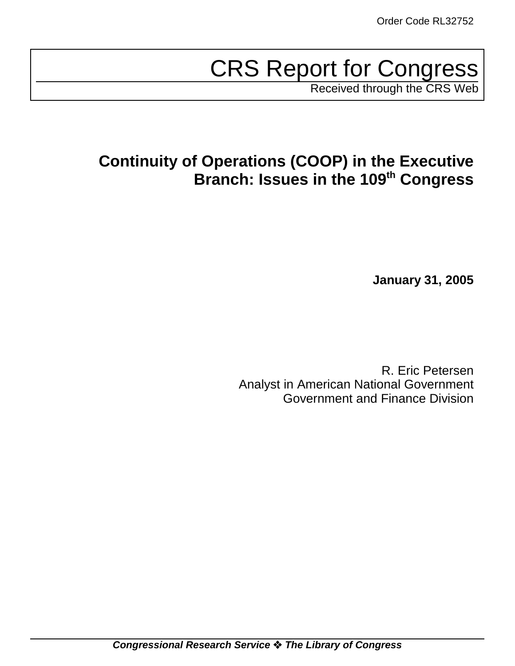# CRS Report for Congress

Received through the CRS Web

# **Continuity of Operations (COOP) in the Executive Branch: Issues in the 109th Congress**

**January 31, 2005**

R. Eric Petersen Analyst in American National Government Government and Finance Division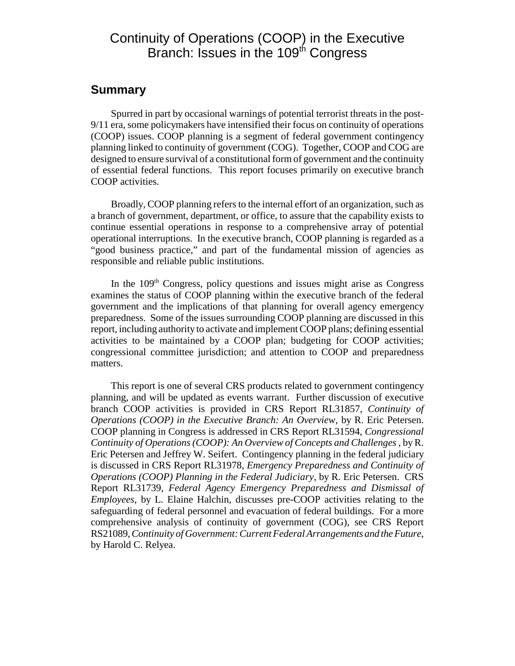# Continuity of Operations (COOP) in the Executive Branch: Issues in the 109<sup>th</sup> Congress

#### **Summary**

Spurred in part by occasional warnings of potential terrorist threats in the post-9/11 era, some policymakers have intensified their focus on continuity of operations (COOP) issues. COOP planning is a segment of federal government contingency planning linked to continuity of government (COG). Together, COOP and COG are designed to ensure survival of a constitutional form of government and the continuity of essential federal functions. This report focuses primarily on executive branch COOP activities.

Broadly, COOP planning refers to the internal effort of an organization, such as a branch of government, department, or office, to assure that the capability exists to continue essential operations in response to a comprehensive array of potential operational interruptions. In the executive branch, COOP planning is regarded as a "good business practice," and part of the fundamental mission of agencies as responsible and reliable public institutions.

In the  $109<sup>th</sup>$  Congress, policy questions and issues might arise as Congress examines the status of COOP planning within the executive branch of the federal government and the implications of that planning for overall agency emergency preparedness. Some of the issues surrounding COOP planning are discussed in this report, including authority to activate and implement COOP plans; defining essential activities to be maintained by a COOP plan; budgeting for COOP activities; congressional committee jurisdiction; and attention to COOP and preparedness matters.

This report is one of several CRS products related to government contingency planning, and will be updated as events warrant. Further discussion of executive branch COOP activities is provided in CRS Report RL31857, *Continuity of Operations (COOP) in the Executive Branch: An Overview*, by R. Eric Petersen. COOP planning in Congress is addressed in CRS Report RL31594, *Congressional Continuity of Operations (COOP): An Overview of Concepts and Challenges* , by R. Eric Petersen and Jeffrey W. Seifert. Contingency planning in the federal judiciary is discussed in CRS Report RL31978, *Emergency Preparedness and Continuity of Operations (COOP) Planning in the Federal Judiciary*, by R. Eric Petersen. CRS Report RL31739, *Federal Agency Emergency Preparedness and Dismissal of Employees*, by L. Elaine Halchin, discusses pre-COOP activities relating to the safeguarding of federal personnel and evacuation of federal buildings. For a more comprehensive analysis of continuity of government (COG), see CRS Report RS21089, *Continuity of Government: Current Federal Arrangements and the Future*, by Harold C. Relyea.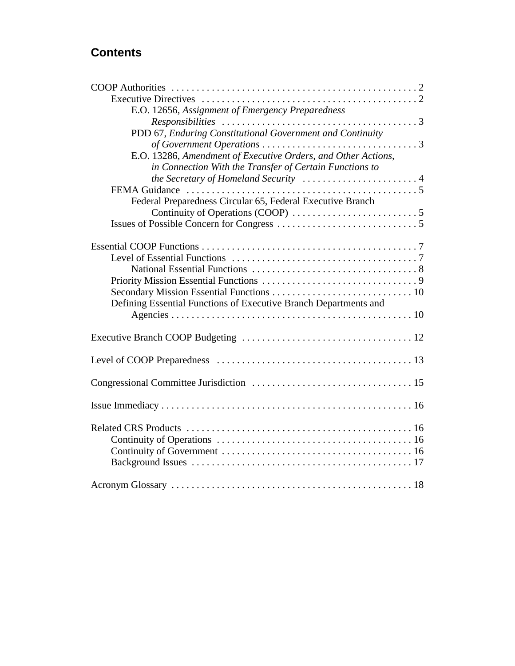# **Contents**

| E.O. 12656, Assignment of Emergency Preparedness                 |  |
|------------------------------------------------------------------|--|
|                                                                  |  |
| PDD 67, Enduring Constitutional Government and Continuity        |  |
|                                                                  |  |
| E.O. 13286, Amendment of Executive Orders, and Other Actions,    |  |
| in Connection With the Transfer of Certain Functions to          |  |
|                                                                  |  |
|                                                                  |  |
| Federal Preparedness Circular 65, Federal Executive Branch       |  |
|                                                                  |  |
|                                                                  |  |
|                                                                  |  |
|                                                                  |  |
|                                                                  |  |
|                                                                  |  |
|                                                                  |  |
|                                                                  |  |
| Defining Essential Functions of Executive Branch Departments and |  |
|                                                                  |  |
|                                                                  |  |
|                                                                  |  |
|                                                                  |  |
|                                                                  |  |
|                                                                  |  |
|                                                                  |  |
|                                                                  |  |
|                                                                  |  |
|                                                                  |  |
|                                                                  |  |
|                                                                  |  |
|                                                                  |  |
|                                                                  |  |
|                                                                  |  |
|                                                                  |  |
|                                                                  |  |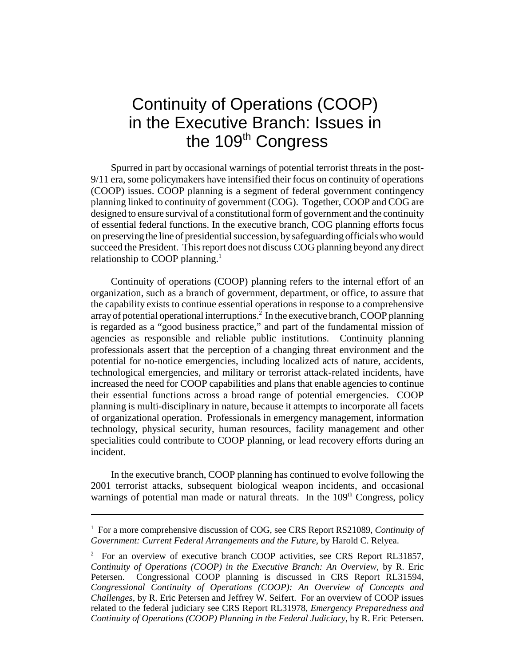# Continuity of Operations (COOP) in the Executive Branch: Issues in the 109<sup>th</sup> Congress

Spurred in part by occasional warnings of potential terrorist threats in the post-9/11 era, some policymakers have intensified their focus on continuity of operations (COOP) issues. COOP planning is a segment of federal government contingency planning linked to continuity of government (COG). Together, COOP and COG are designed to ensure survival of a constitutional form of government and the continuity of essential federal functions. In the executive branch, COG planning efforts focus on preserving the line of presidential succession, by safeguarding officials who would succeed the President. This report does not discuss COG planning beyond any direct relationship to COOP planning.<sup>1</sup>

Continuity of operations (COOP) planning refers to the internal effort of an organization, such as a branch of government, department, or office, to assure that the capability exists to continue essential operations in response to a comprehensive array of potential operational interruptions.<sup>2</sup> In the executive branch, COOP planning is regarded as a "good business practice," and part of the fundamental mission of agencies as responsible and reliable public institutions. Continuity planning professionals assert that the perception of a changing threat environment and the potential for no-notice emergencies, including localized acts of nature, accidents, technological emergencies, and military or terrorist attack-related incidents, have increased the need for COOP capabilities and plans that enable agencies to continue their essential functions across a broad range of potential emergencies. COOP planning is multi-disciplinary in nature, because it attempts to incorporate all facets of organizational operation. Professionals in emergency management, information technology, physical security, human resources, facility management and other specialities could contribute to COOP planning, or lead recovery efforts during an incident.

In the executive branch, COOP planning has continued to evolve following the 2001 terrorist attacks, subsequent biological weapon incidents, and occasional warnings of potential man made or natural threats. In the 109<sup>th</sup> Congress, policy

<sup>&</sup>lt;sup>1</sup> For a more comprehensive discussion of COG, see CRS Report RS21089, *Continuity of Government: Current Federal Arrangements and the Future*, by Harold C. Relyea.

<sup>&</sup>lt;sup>2</sup> For an overview of executive branch COOP activities, see CRS Report RL31857, *Continuity of Operations (COOP) in the Executive Branch: An Overview*, by R. Eric Petersen. Congressional COOP planning is discussed in CRS Report RL31594, *Congressional Continuity of Operations (COOP): An Overview of Concepts and Challenges*, by R. Eric Petersen and Jeffrey W. Seifert. For an overview of COOP issues related to the federal judiciary see CRS Report RL31978, *Emergency Preparedness and Continuity of Operations (COOP) Planning in the Federal Judiciary*, by R. Eric Petersen.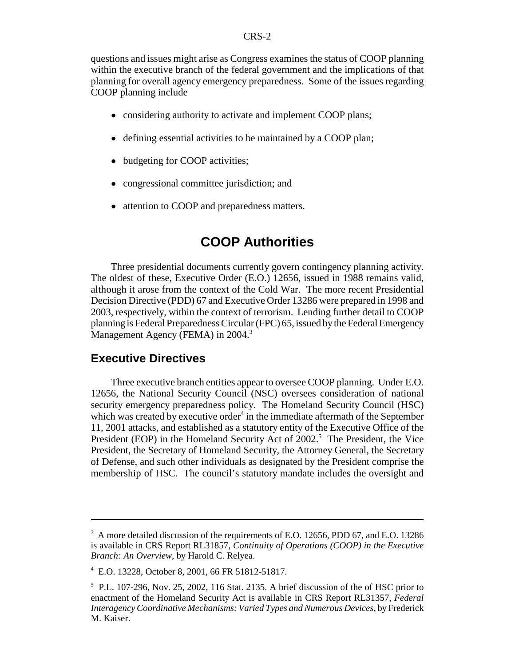questions and issues might arise as Congress examines the status of COOP planning within the executive branch of the federal government and the implications of that planning for overall agency emergency preparedness. Some of the issues regarding COOP planning include

- considering authority to activate and implement COOP plans;
- defining essential activities to be maintained by a COOP plan;
- budgeting for COOP activities;
- congressional committee jurisdiction; and
- attention to COOP and preparedness matters.

# **COOP Authorities**

Three presidential documents currently govern contingency planning activity. The oldest of these, Executive Order (E.O.) 12656, issued in 1988 remains valid, although it arose from the context of the Cold War. The more recent Presidential Decision Directive (PDD) 67 and Executive Order 13286 were prepared in 1998 and 2003, respectively, within the context of terrorism. Lending further detail to COOP planning is Federal Preparedness Circular (FPC) 65, issued by the Federal Emergency Management Agency (FEMA) in 2004.<sup>3</sup>

#### **Executive Directives**

Three executive branch entities appear to oversee COOP planning. Under E.O. 12656, the National Security Council (NSC) oversees consideration of national security emergency preparedness policy. The Homeland Security Council (HSC) which was created by executive order $4$  in the immediate aftermath of the September 11, 2001 attacks, and established as a statutory entity of the Executive Office of the President (EOP) in the Homeland Security Act of 2002.<sup>5</sup> The President, the Vice President, the Secretary of Homeland Security, the Attorney General, the Secretary of Defense, and such other individuals as designated by the President comprise the membership of HSC. The council's statutory mandate includes the oversight and

<sup>&</sup>lt;sup>3</sup> A more detailed discussion of the requirements of E.O. 12656, PDD 67, and E.O. 13286 is available in CRS Report RL31857, *Continuity of Operations (COOP) in the Executive Branch: An Overview*, by Harold C. Relyea.

<sup>4</sup> E.O. 13228, October 8, 2001, 66 FR 51812-51817.

<sup>5</sup> P.L. 107-296, Nov. 25, 2002, 116 Stat. 2135. A brief discussion of the of HSC prior to enactment of the Homeland Security Act is available in CRS Report RL31357, *Federal Interagency Coordinative Mechanisms: Varied Types and Numerous Devices*, by Frederick M. Kaiser.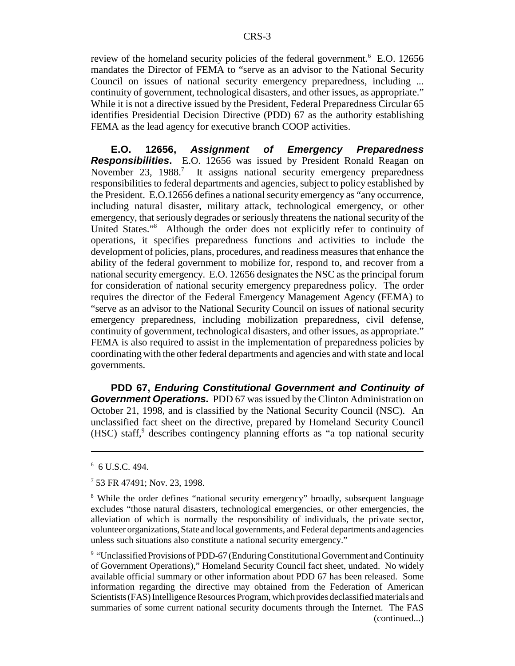review of the homeland security policies of the federal government.<sup>6</sup> E.O. 12656 mandates the Director of FEMA to "serve as an advisor to the National Security Council on issues of national security emergency preparedness, including ... continuity of government, technological disasters, and other issues, as appropriate." While it is not a directive issued by the President, Federal Preparedness Circular 65 identifies Presidential Decision Directive (PDD) 67 as the authority establishing FEMA as the lead agency for executive branch COOP activities.

**E.O. 12656,** *Assignment of Emergency Preparedness Responsibilities***.** E.O. 12656 was issued by President Ronald Reagan on November 23, 1988.<sup>7</sup> It assigns national security emergency preparedness responsibilities to federal departments and agencies, subject to policy established by the President. E.O.12656 defines a national security emergency as "any occurrence, including natural disaster, military attack, technological emergency, or other emergency, that seriously degrades or seriously threatens the national security of the United States."8 Although the order does not explicitly refer to continuity of operations, it specifies preparedness functions and activities to include the development of policies, plans, procedures, and readiness measures that enhance the ability of the federal government to mobilize for, respond to, and recover from a national security emergency. E.O. 12656 designates the NSC as the principal forum for consideration of national security emergency preparedness policy. The order requires the director of the Federal Emergency Management Agency (FEMA) to "serve as an advisor to the National Security Council on issues of national security emergency preparedness, including mobilization preparedness, civil defense, continuity of government, technological disasters, and other issues, as appropriate." FEMA is also required to assist in the implementation of preparedness policies by coordinating with the other federal departments and agencies and with state and local governments.

**PDD 67,** *Enduring Constitutional Government and Continuity of* **Government Operations.** PDD 67 was issued by the Clinton Administration on October 21, 1998, and is classified by the National Security Council (NSC). An unclassified fact sheet on the directive, prepared by Homeland Security Council (HSC) staff,<sup>9</sup> describes contingency planning efforts as "a top national security

<sup>9</sup> "Unclassified Provisions of PDD-67 (Enduring Constitutional Government and Continuity of Government Operations)," Homeland Security Council fact sheet, undated. No widely available official summary or other information about PDD 67 has been released. Some information regarding the directive may obtained from the Federation of American Scientists (FAS) Intelligence Resources Program, which provides declassified materials and summaries of some current national security documents through the Internet. The FAS (continued...)

 $6$  6 U.S.C. 494.

<sup>7</sup> 53 FR 47491; Nov. 23, 1998.

<sup>&</sup>lt;sup>8</sup> While the order defines "national security emergency" broadly, subsequent language excludes "those natural disasters, technological emergencies, or other emergencies, the alleviation of which is normally the responsibility of individuals, the private sector, volunteer organizations, State and local governments, and Federal departments and agencies unless such situations also constitute a national security emergency."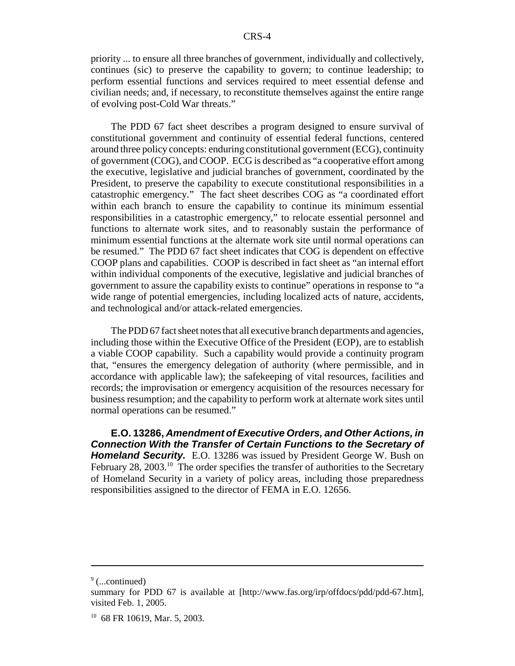priority ... to ensure all three branches of government, individually and collectively, continues (sic) to preserve the capability to govern; to continue leadership; to perform essential functions and services required to meet essential defense and civilian needs; and, if necessary, to reconstitute themselves against the entire range of evolving post-Cold War threats."

The PDD 67 fact sheet describes a program designed to ensure survival of constitutional government and continuity of essential federal functions, centered around three policy concepts: enduring constitutional government (ECG), continuity of government (COG), and COOP. ECG is described as "a cooperative effort among the executive, legislative and judicial branches of government, coordinated by the President, to preserve the capability to execute constitutional responsibilities in a catastrophic emergency." The fact sheet describes COG as "a coordinated effort within each branch to ensure the capability to continue its minimum essential responsibilities in a catastrophic emergency," to relocate essential personnel and functions to alternate work sites, and to reasonably sustain the performance of minimum essential functions at the alternate work site until normal operations can be resumed." The PDD 67 fact sheet indicates that COG is dependent on effective COOP plans and capabilities. COOP is described in fact sheet as "an internal effort within individual components of the executive, legislative and judicial branches of government to assure the capability exists to continue" operations in response to "a wide range of potential emergencies, including localized acts of nature, accidents, and technological and/or attack-related emergencies.

The PDD 67 fact sheet notes that all executive branch departments and agencies, including those within the Executive Office of the President (EOP), are to establish a viable COOP capability. Such a capability would provide a continuity program that, "ensures the emergency delegation of authority (where permissible, and in accordance with applicable law); the safekeeping of vital resources, facilities and records; the improvisation or emergency acquisition of the resources necessary for business resumption; and the capability to perform work at alternate work sites until normal operations can be resumed."

**E.O. 13286,** *Amendment of Executive Orders, and Other Actions, in Connection With the Transfer of Certain Functions to the Secretary of Homeland Security.* E.O. 13286 was issued by President George W. Bush on February 28, 2003.<sup>10</sup> The order specifies the transfer of authorities to the Secretary of Homeland Security in a variety of policy areas, including those preparedness responsibilities assigned to the director of FEMA in E.O. 12656.

<sup>&</sup>lt;sup>9</sup> (...continued)

summary for PDD 67 is available at [http://www.fas.org/irp/offdocs/pdd/pdd-67.htm], visited Feb. 1, 2005.

 $10$  68 FR 10619, Mar. 5, 2003.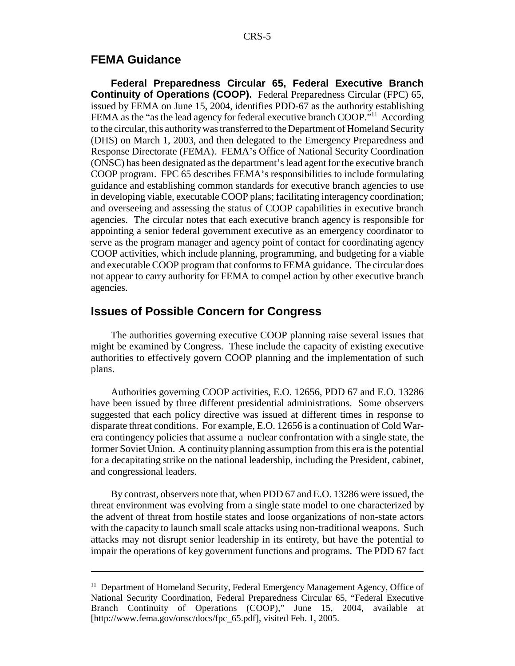#### **FEMA Guidance**

**Federal Preparedness Circular 65, Federal Executive Branch Continuity of Operations (COOP).** Federal Preparedness Circular (FPC) 65, issued by FEMA on June 15, 2004, identifies PDD-67 as the authority establishing FEMA as the "as the lead agency for federal executive branch COOP."<sup>11</sup> According to the circular, this authority was transferred to the Department of Homeland Security (DHS) on March 1, 2003, and then delegated to the Emergency Preparedness and Response Directorate (FEMA). FEMA's Office of National Security Coordination (ONSC) has been designated as the department's lead agent for the executive branch COOP program. FPC 65 describes FEMA's responsibilities to include formulating guidance and establishing common standards for executive branch agencies to use in developing viable, executable COOP plans; facilitating interagency coordination; and overseeing and assessing the status of COOP capabilities in executive branch agencies. The circular notes that each executive branch agency is responsible for appointing a senior federal government executive as an emergency coordinator to serve as the program manager and agency point of contact for coordinating agency COOP activities, which include planning, programming, and budgeting for a viable and executable COOP program that conforms to FEMA guidance. The circular does not appear to carry authority for FEMA to compel action by other executive branch agencies.

#### **Issues of Possible Concern for Congress**

The authorities governing executive COOP planning raise several issues that might be examined by Congress. These include the capacity of existing executive authorities to effectively govern COOP planning and the implementation of such plans.

Authorities governing COOP activities, E.O. 12656, PDD 67 and E.O. 13286 have been issued by three different presidential administrations. Some observers suggested that each policy directive was issued at different times in response to disparate threat conditions. For example, E.O. 12656 is a continuation of Cold Warera contingency policies that assume a nuclear confrontation with a single state, the former Soviet Union. A continuity planning assumption from this era is the potential for a decapitating strike on the national leadership, including the President, cabinet, and congressional leaders.

By contrast, observers note that, when PDD 67 and E.O. 13286 were issued, the threat environment was evolving from a single state model to one characterized by the advent of threat from hostile states and loose organizations of non-state actors with the capacity to launch small scale attacks using non-traditional weapons. Such attacks may not disrupt senior leadership in its entirety, but have the potential to impair the operations of key government functions and programs. The PDD 67 fact

<sup>&</sup>lt;sup>11</sup> Department of Homeland Security, Federal Emergency Management Agency, Office of National Security Coordination, Federal Preparedness Circular 65, "Federal Executive Branch Continuity of Operations (COOP)," June 15, 2004, available at [http://www.fema.gov/onsc/docs/fpc\_65.pdf], visited Feb. 1, 2005.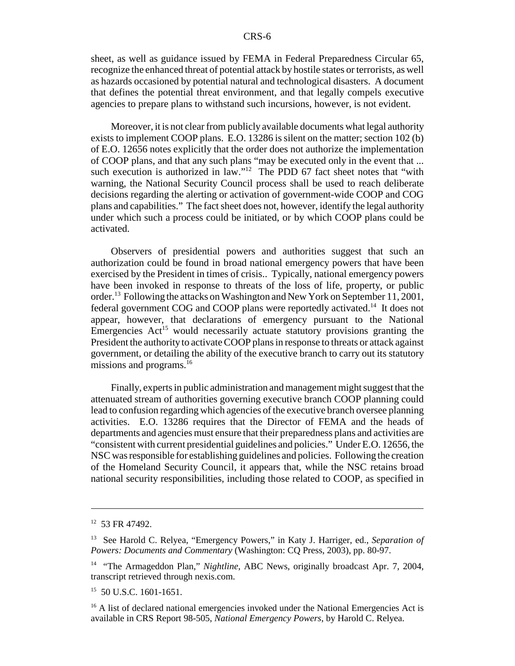sheet, as well as guidance issued by FEMA in Federal Preparedness Circular 65, recognize the enhanced threat of potential attack by hostile states or terrorists, as well as hazards occasioned by potential natural and technological disasters. A document that defines the potential threat environment, and that legally compels executive agencies to prepare plans to withstand such incursions, however, is not evident.

Moreover, it is not clear from publicly available documents what legal authority exists to implement COOP plans. E.O. 13286 is silent on the matter; section 102 (b) of E.O. 12656 notes explicitly that the order does not authorize the implementation of COOP plans, and that any such plans "may be executed only in the event that ... such execution is authorized in law."<sup>12</sup> The PDD 67 fact sheet notes that "with warning, the National Security Council process shall be used to reach deliberate decisions regarding the alerting or activation of government-wide COOP and COG plans and capabilities." The fact sheet does not, however, identify the legal authority under which such a process could be initiated, or by which COOP plans could be activated.

Observers of presidential powers and authorities suggest that such an authorization could be found in broad national emergency powers that have been exercised by the President in times of crisis.. Typically, national emergency powers have been invoked in response to threats of the loss of life, property, or public order.13 Following the attacks on Washington and New York on September 11, 2001, federal government COG and COOP plans were reportedly activated.<sup>14</sup> It does not appear, however, that declarations of emergency pursuant to the National Emergencies  $Act^{15}$  would necessarily actuate statutory provisions granting the President the authority to activate COOP plans in response to threats or attack against government, or detailing the ability of the executive branch to carry out its statutory missions and programs.<sup>16</sup>

Finally, experts in public administration and management might suggest that the attenuated stream of authorities governing executive branch COOP planning could lead to confusion regarding which agencies of the executive branch oversee planning activities. E.O. 13286 requires that the Director of FEMA and the heads of departments and agencies must ensure that their preparedness plans and activities are "consistent with current presidential guidelines and policies." Under E.O. 12656, the NSC was responsible for establishing guidelines and policies. Following the creation of the Homeland Security Council, it appears that, while the NSC retains broad national security responsibilities, including those related to COOP, as specified in

<sup>12 53</sup> FR 47492.

<sup>13</sup> See Harold C. Relyea, "Emergency Powers," in Katy J. Harriger, ed., *Separation of Powers: Documents and Commentary* (Washington: CQ Press, 2003), pp. 80-97.

<sup>&</sup>lt;sup>14</sup> "The Armageddon Plan," *Nightline*, ABC News, originally broadcast Apr. 7, 2004, transcript retrieved through nexis.com.

<sup>&</sup>lt;sup>15</sup> 50 U.S.C. 1601-1651.

<sup>&</sup>lt;sup>16</sup> A list of declared national emergencies invoked under the National Emergencies Act is available in CRS Report 98-505, *National Emergency Powers*, by Harold C. Relyea.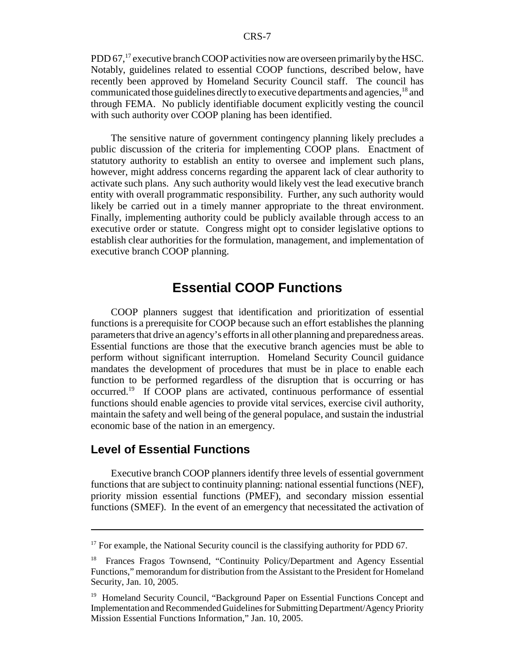PDD 67,<sup>17</sup> executive branch COOP activities now are overseen primarily by the HSC. Notably, guidelines related to essential COOP functions, described below, have recently been approved by Homeland Security Council staff. The council has communicated those guidelines directly to executive departments and agencies, <sup>18</sup> and through FEMA. No publicly identifiable document explicitly vesting the council with such authority over COOP planing has been identified.

The sensitive nature of government contingency planning likely precludes a public discussion of the criteria for implementing COOP plans. Enactment of statutory authority to establish an entity to oversee and implement such plans, however, might address concerns regarding the apparent lack of clear authority to activate such plans. Any such authority would likely vest the lead executive branch entity with overall programmatic responsibility. Further, any such authority would likely be carried out in a timely manner appropriate to the threat environment. Finally, implementing authority could be publicly available through access to an executive order or statute. Congress might opt to consider legislative options to establish clear authorities for the formulation, management, and implementation of executive branch COOP planning.

### **Essential COOP Functions**

COOP planners suggest that identification and prioritization of essential functions is a prerequisite for COOP because such an effort establishes the planning parameters that drive an agency's efforts in all other planning and preparedness areas. Essential functions are those that the executive branch agencies must be able to perform without significant interruption. Homeland Security Council guidance mandates the development of procedures that must be in place to enable each function to be performed regardless of the disruption that is occurring or has occurred.19 If COOP plans are activated, continuous performance of essential functions should enable agencies to provide vital services, exercise civil authority, maintain the safety and well being of the general populace, and sustain the industrial economic base of the nation in an emergency.

#### **Level of Essential Functions**

Executive branch COOP planners identify three levels of essential government functions that are subject to continuity planning: national essential functions (NEF), priority mission essential functions (PMEF), and secondary mission essential functions (SMEF). In the event of an emergency that necessitated the activation of

 $17$  For example, the National Security council is the classifying authority for PDD 67.

<sup>&</sup>lt;sup>18</sup> Frances Fragos Townsend, "Continuity Policy/Department and Agency Essential Functions," memorandum for distribution from the Assistant to the President for Homeland Security, Jan. 10, 2005.

<sup>&</sup>lt;sup>19</sup> Homeland Security Council, "Background Paper on Essential Functions Concept and Implementation and Recommended Guidelines for Submitting Department/Agency Priority Mission Essential Functions Information," Jan. 10, 2005.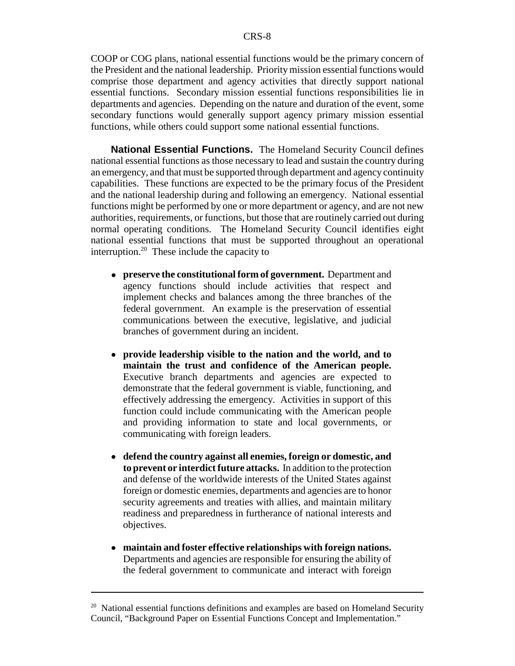COOP or COG plans, national essential functions would be the primary concern of the President and the national leadership. Priority mission essential functions would comprise those department and agency activities that directly support national essential functions. Secondary mission essential functions responsibilities lie in departments and agencies. Depending on the nature and duration of the event, some secondary functions would generally support agency primary mission essential functions, while others could support some national essential functions.

**National Essential Functions.** The Homeland Security Council defines national essential functions as those necessary to lead and sustain the country during an emergency, and that must be supported through department and agency continuity capabilities. These functions are expected to be the primary focus of the President and the national leadership during and following an emergency. National essential functions might be performed by one or more department or agency, and are not new authorities, requirements, or functions, but those that are routinely carried out during normal operating conditions. The Homeland Security Council identifies eight national essential functions that must be supported throughout an operational interruption.<sup>20</sup> These include the capacity to

- ! **preserve the constitutional form of government.** Department and agency functions should include activities that respect and implement checks and balances among the three branches of the federal government. An example is the preservation of essential communications between the executive, legislative, and judicial branches of government during an incident.
- ! **provide leadership visible to the nation and the world, and to maintain the trust and confidence of the American people.** Executive branch departments and agencies are expected to demonstrate that the federal government is viable, functioning, and effectively addressing the emergency. Activities in support of this function could include communicating with the American people and providing information to state and local governments, or communicating with foreign leaders.
- ! **defend the country against all enemies, foreign or domestic, and to prevent or interdict future attacks.** In addition to the protection and defense of the worldwide interests of the United States against foreign or domestic enemies, departments and agencies are to honor security agreements and treaties with allies, and maintain military readiness and preparedness in furtherance of national interests and objectives.
- ! **maintain and foster effective relationships with foreign nations.** Departments and agencies are responsible for ensuring the ability of the federal government to communicate and interact with foreign

 $20$  National essential functions definitions and examples are based on Homeland Security Council, "Background Paper on Essential Functions Concept and Implementation."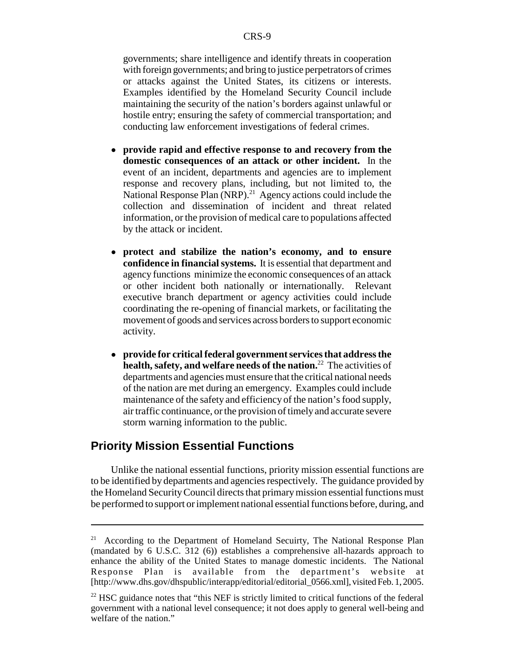governments; share intelligence and identify threats in cooperation with foreign governments; and bring to justice perpetrators of crimes or attacks against the United States, its citizens or interests. Examples identified by the Homeland Security Council include maintaining the security of the nation's borders against unlawful or hostile entry; ensuring the safety of commercial transportation; and conducting law enforcement investigations of federal crimes.

- ! **provide rapid and effective response to and recovery from the domestic consequences of an attack or other incident.** In the event of an incident, departments and agencies are to implement response and recovery plans, including, but not limited to, the National Response Plan (NRP).<sup>21</sup> Agency actions could include the collection and dissemination of incident and threat related information, or the provision of medical care to populations affected by the attack or incident.
- ! **protect and stabilize the nation's economy, and to ensure confidence in financial systems.** It is essential that department and agency functions minimize the economic consequences of an attack or other incident both nationally or internationally. Relevant executive branch department or agency activities could include coordinating the re-opening of financial markets, or facilitating the movement of goods and services across borders to support economic activity.
- ! **provide for critical federal government services that address the health, safety, and welfare needs of the nation.**22 The activities of departments and agencies must ensure that the critical national needs of the nation are met during an emergency. Examples could include maintenance of the safety and efficiency of the nation's food supply, air traffic continuance, or the provision of timely and accurate severe storm warning information to the public.

#### **Priority Mission Essential Functions**

Unlike the national essential functions, priority mission essential functions are to be identified by departments and agencies respectively. The guidance provided by the Homeland Security Council directs that primary mission essential functions must be performed to support or implement national essential functions before, during, and

<sup>&</sup>lt;sup>21</sup> According to the Department of Homeland Secuirty, The National Response Plan (mandated by 6 U.S.C. 312 (6)) establishes a comprehensive all-hazards approach to enhance the ability of the United States to manage domestic incidents. The National Response Plan is available from the department's website at [http://www.dhs.gov/dhspublic/interapp/editorial/editorial\_0566.xml], visited Feb. 1, 2005.

 $2<sup>22</sup>$  HSC guidance notes that "this NEF is strictly limited to critical functions of the federal government with a national level consequence; it not does apply to general well-being and welfare of the nation."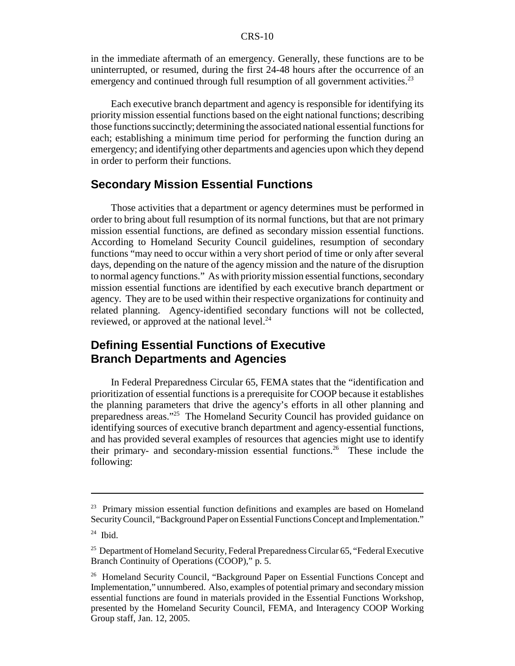#### CRS-10

in the immediate aftermath of an emergency. Generally, these functions are to be uninterrupted, or resumed, during the first 24-48 hours after the occurrence of an emergency and continued through full resumption of all government activities.<sup>23</sup>

Each executive branch department and agency is responsible for identifying its priority mission essential functions based on the eight national functions; describing those functions succinctly; determining the associated national essential functions for each; establishing a minimum time period for performing the function during an emergency; and identifying other departments and agencies upon which they depend in order to perform their functions.

#### **Secondary Mission Essential Functions**

Those activities that a department or agency determines must be performed in order to bring about full resumption of its normal functions, but that are not primary mission essential functions, are defined as secondary mission essential functions. According to Homeland Security Council guidelines, resumption of secondary functions "may need to occur within a very short period of time or only after several days, depending on the nature of the agency mission and the nature of the disruption to normal agency functions." As with priority mission essential functions, secondary mission essential functions are identified by each executive branch department or agency. They are to be used within their respective organizations for continuity and related planning. Agency-identified secondary functions will not be collected, reviewed, or approved at the national level.<sup>24</sup>

#### **Defining Essential Functions of Executive Branch Departments and Agencies**

In Federal Preparedness Circular 65, FEMA states that the "identification and prioritization of essential functions is a prerequisite for COOP because it establishes the planning parameters that drive the agency's efforts in all other planning and preparedness areas."25 The Homeland Security Council has provided guidance on identifying sources of executive branch department and agency-essential functions, and has provided several examples of resources that agencies might use to identify their primary- and secondary-mission essential functions.<sup>26</sup> These include the following:

<sup>&</sup>lt;sup>23</sup> Primary mission essential function definitions and examples are based on Homeland Security Council, "Background Paper on Essential Functions Concept and Implementation."

 $24$  Ibid.

<sup>&</sup>lt;sup>25</sup> Department of Homeland Security, Federal Preparedness Circular 65, "Federal Executive Branch Continuity of Operations (COOP)," p. 5.

<sup>&</sup>lt;sup>26</sup> Homeland Security Council, "Background Paper on Essential Functions Concept and Implementation," unnumbered. Also, examples of potential primary and secondary mission essential functions are found in materials provided in the Essential Functions Workshop, presented by the Homeland Security Council, FEMA, and Interagency COOP Working Group staff, Jan. 12, 2005.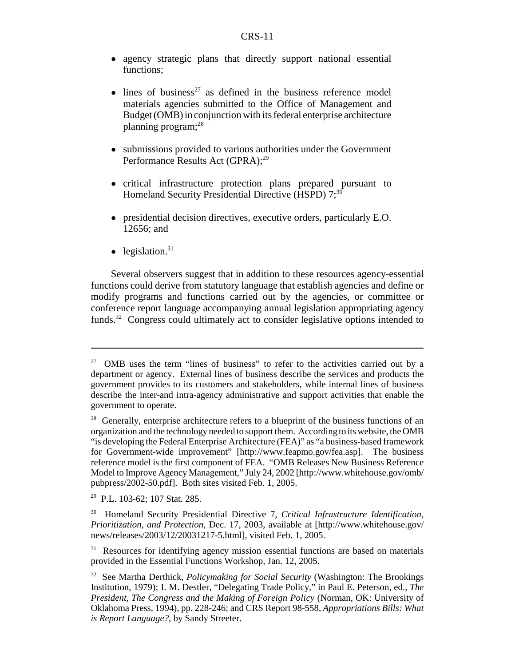- agency strategic plans that directly support national essential functions;
- $\bullet$  lines of business<sup>27</sup> as defined in the business reference model materials agencies submitted to the Office of Management and Budget (OMB) in conjunction with its federal enterprise architecture planning program;28
- submissions provided to various authorities under the Government Performance Results Act (GPRA);<sup>29</sup>
- ! critical infrastructure protection plans prepared pursuant to Homeland Security Presidential Directive (HSPD)  $7;^{30}$
- ! presidential decision directives, executive orders, particularly E.O. 12656; and
- $\bullet$  legislation.<sup>31</sup>

Several observers suggest that in addition to these resources agency-essential functions could derive from statutory language that establish agencies and define or modify programs and functions carried out by the agencies, or committee or conference report language accompanying annual legislation appropriating agency funds.<sup>32</sup> Congress could ultimately act to consider legislative options intended to

<sup>27</sup> OMB uses the term "lines of business" to refer to the activities carried out by a department or agency. External lines of business describe the services and products the government provides to its customers and stakeholders, while internal lines of business describe the inter-and intra-agency administrative and support activities that enable the government to operate.

<sup>&</sup>lt;sup>28</sup> Generally, enterprise architecture refers to a blueprint of the business functions of an organization and the technology needed to support them. According to its website, the OMB "is developing the Federal Enterprise Architecture (FEA)" as "a business-based framework for Government-wide improvement" [http://www.feapmo.gov/fea.asp]. The business reference model is the first component of FEA. "OMB Releases New Business Reference Model to Improve Agency Management," July 24, 2002 [http://www.whitehouse.gov/omb/ pubpress/2002-50.pdf]. Both sites visited Feb. 1, 2005.

<sup>29</sup> P.L. 103-62; 107 Stat. 285.

<sup>30</sup> Homeland Security Presidential Directive 7, *Critical Infrastructure Identification, Prioritization, and Protection*, Dec. 17, 2003, available at [http://www.whitehouse.gov/ news/releases/2003/12/20031217-5.html], visited Feb. 1, 2005.

<sup>&</sup>lt;sup>31</sup> Resources for identifying agency mission essential functions are based on materials provided in the Essential Functions Workshop, Jan. 12, 2005.

<sup>32</sup> See Martha Derthick, *Policymaking for Social Security* (Washington: The Brookings Institution, 1979); I. M. Destler, "Delegating Trade Policy," in Paul E. Peterson, ed., *The President, The Congress and the Making of Foreign Policy* (Norman, OK: University of Oklahoma Press, 1994), pp. 228-246; and CRS Report 98-558, *Appropriations Bills: What is Report Language?*, by Sandy Streeter.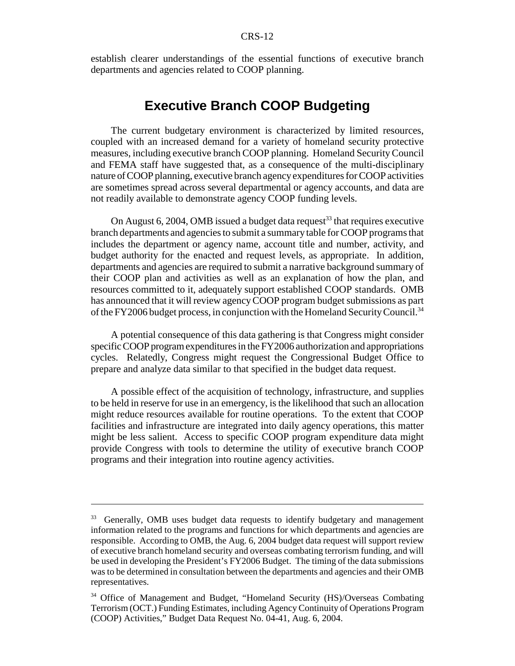establish clearer understandings of the essential functions of executive branch departments and agencies related to COOP planning.

### **Executive Branch COOP Budgeting**

The current budgetary environment is characterized by limited resources, coupled with an increased demand for a variety of homeland security protective measures, including executive branch COOP planning. Homeland Security Council and FEMA staff have suggested that, as a consequence of the multi-disciplinary nature of COOP planning, executive branch agency expenditures for COOP activities are sometimes spread across several departmental or agency accounts, and data are not readily available to demonstrate agency COOP funding levels.

On August 6, 2004, OMB issued a budget data request<sup>33</sup> that requires executive branch departments and agencies to submit a summary table for COOP programs that includes the department or agency name, account title and number, activity, and budget authority for the enacted and request levels, as appropriate. In addition, departments and agencies are required to submit a narrative background summary of their COOP plan and activities as well as an explanation of how the plan, and resources committed to it, adequately support established COOP standards. OMB has announced that it will review agency COOP program budget submissions as part of the FY2006 budget process, in conjunction with the Homeland Security Council.34

A potential consequence of this data gathering is that Congress might consider specific COOP program expenditures in the FY2006 authorization and appropriations cycles. Relatedly, Congress might request the Congressional Budget Office to prepare and analyze data similar to that specified in the budget data request.

A possible effect of the acquisition of technology, infrastructure, and supplies to be held in reserve for use in an emergency, is the likelihood that such an allocation might reduce resources available for routine operations. To the extent that COOP facilities and infrastructure are integrated into daily agency operations, this matter might be less salient. Access to specific COOP program expenditure data might provide Congress with tools to determine the utility of executive branch COOP programs and their integration into routine agency activities.

<sup>&</sup>lt;sup>33</sup> Generally, OMB uses budget data requests to identify budgetary and management information related to the programs and functions for which departments and agencies are responsible. According to OMB, the Aug. 6, 2004 budget data request will support review of executive branch homeland security and overseas combating terrorism funding, and will be used in developing the President's FY2006 Budget. The timing of the data submissions was to be determined in consultation between the departments and agencies and their OMB representatives.

<sup>34</sup> Office of Management and Budget, "Homeland Security (HS)/Overseas Combating Terrorism (OCT.) Funding Estimates, including Agency Continuity of Operations Program (COOP) Activities," Budget Data Request No. 04-41, Aug. 6, 2004.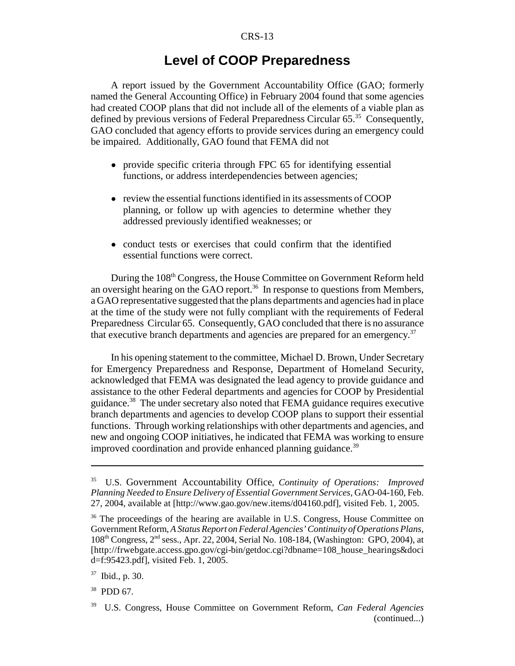# **Level of COOP Preparedness**

A report issued by the Government Accountability Office (GAO; formerly named the General Accounting Office) in February 2004 found that some agencies had created COOP plans that did not include all of the elements of a viable plan as defined by previous versions of Federal Preparedness Circular 65.<sup>35</sup> Consequently, GAO concluded that agency efforts to provide services during an emergency could be impaired. Additionally, GAO found that FEMA did not

- provide specific criteria through FPC 65 for identifying essential functions, or address interdependencies between agencies;
- review the essential functions identified in its assessments of COOP planning, or follow up with agencies to determine whether they addressed previously identified weaknesses; or
- conduct tests or exercises that could confirm that the identified essential functions were correct.

During the 108<sup>th</sup> Congress, the House Committee on Government Reform held an oversight hearing on the GAO report.<sup>36</sup> In response to questions from Members, a GAO representative suggested that the plans departments and agencies had in place at the time of the study were not fully compliant with the requirements of Federal Preparedness Circular 65. Consequently, GAO concluded that there is no assurance that executive branch departments and agencies are prepared for an emergency.<sup>37</sup>

In his opening statement to the committee, Michael D. Brown, Under Secretary for Emergency Preparedness and Response, Department of Homeland Security, acknowledged that FEMA was designated the lead agency to provide guidance and assistance to the other Federal departments and agencies for COOP by Presidential guidance.38 The under secretary also noted that FEMA guidance requires executive branch departments and agencies to develop COOP plans to support their essential functions. Through working relationships with other departments and agencies, and new and ongoing COOP initiatives, he indicated that FEMA was working to ensure improved coordination and provide enhanced planning guidance.<sup>39</sup>

38 PDD 67.

<sup>35</sup> U.S. Government Accountability Office, *Continuity of Operations: Improved Planning Needed to Ensure Delivery of Essential Government Services*, GAO-04-160, Feb. 27, 2004, available at [http://www.gao.gov/new.items/d04160.pdf], visited Feb. 1, 2005.

<sup>&</sup>lt;sup>36</sup> The proceedings of the hearing are available in U.S. Congress, House Committee on Government Reform, *A Status Report on Federal Agencies' Continuity of Operations Plans*, 108th Congress, 2nd sess., Apr. 22, 2004, Serial No. 108-184, (Washington: GPO, 2004), at [http://frwebgate.access.gpo.gov/cgi-bin/getdoc.cgi?dbname=108\_house\_hearings&doci d=f:95423.pdf], visited Feb. 1, 2005.

<sup>37</sup> Ibid., p. 30.

<sup>39</sup> U.S. Congress, House Committee on Government Reform, *Can Federal Agencies* (continued...)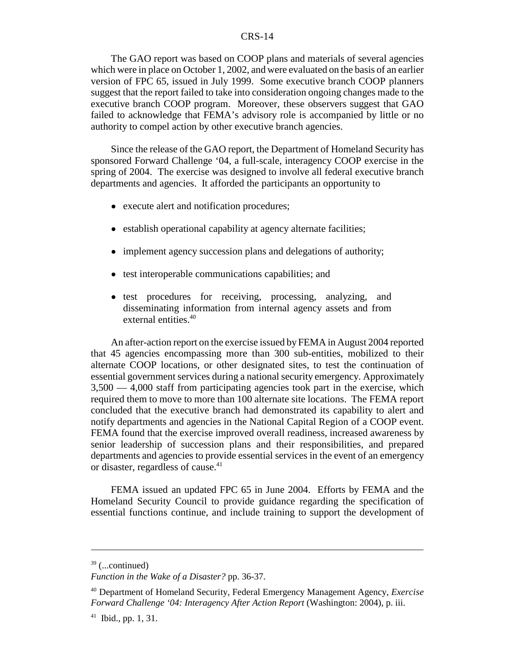#### CRS-14

The GAO report was based on COOP plans and materials of several agencies which were in place on October 1, 2002, and were evaluated on the basis of an earlier version of FPC 65, issued in July 1999. Some executive branch COOP planners suggest that the report failed to take into consideration ongoing changes made to the executive branch COOP program. Moreover, these observers suggest that GAO failed to acknowledge that FEMA's advisory role is accompanied by little or no authority to compel action by other executive branch agencies.

Since the release of the GAO report, the Department of Homeland Security has sponsored Forward Challenge '04, a full-scale, interagency COOP exercise in the spring of 2004. The exercise was designed to involve all federal executive branch departments and agencies. It afforded the participants an opportunity to

- execute alert and notification procedures;
- establish operational capability at agency alternate facilities;
- implement agency succession plans and delegations of authority;
- test interoperable communications capabilities; and
- ! test procedures for receiving, processing, analyzing, and disseminating information from internal agency assets and from external entities.<sup>40</sup>

An after-action report on the exercise issued by FEMA in August 2004 reported that 45 agencies encompassing more than 300 sub-entities, mobilized to their alternate COOP locations, or other designated sites, to test the continuation of essential government services during a national security emergency. Approximately 3,500 — 4,000 staff from participating agencies took part in the exercise, which required them to move to more than 100 alternate site locations. The FEMA report concluded that the executive branch had demonstrated its capability to alert and notify departments and agencies in the National Capital Region of a COOP event. FEMA found that the exercise improved overall readiness, increased awareness by senior leadership of succession plans and their responsibilities, and prepared departments and agencies to provide essential services in the event of an emergency or disaster, regardless of cause.<sup>41</sup>

FEMA issued an updated FPC 65 in June 2004. Efforts by FEMA and the Homeland Security Council to provide guidance regarding the specification of essential functions continue, and include training to support the development of

 $39$  (...continued)

*Function in the Wake of a Disaster?* pp. 36-37.

<sup>40</sup> Department of Homeland Security, Federal Emergency Management Agency, *Exercise Forward Challenge '04: Interagency After Action Report* (Washington: 2004), p. iii.

 $41$  Ibid., pp. 1, 31.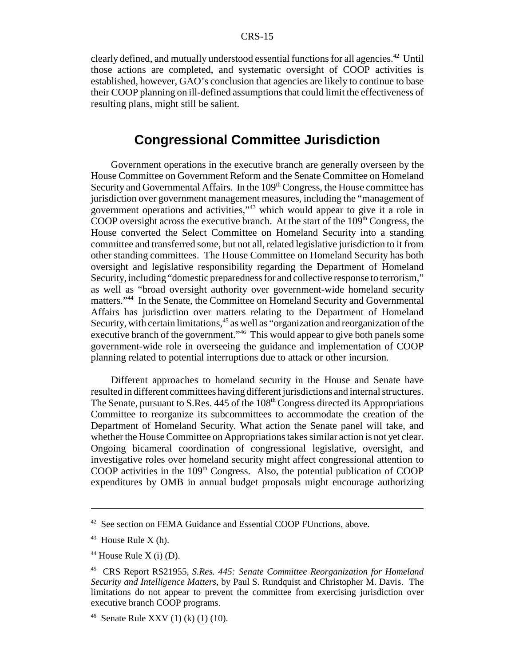clearly defined, and mutually understood essential functions for all agencies.<sup>42</sup> Until those actions are completed, and systematic oversight of COOP activities is established, however, GAO's conclusion that agencies are likely to continue to base their COOP planning on ill-defined assumptions that could limit the effectiveness of resulting plans, might still be salient.

# **Congressional Committee Jurisdiction**

Government operations in the executive branch are generally overseen by the House Committee on Government Reform and the Senate Committee on Homeland Security and Governmental Affairs. In the  $109<sup>th</sup> Congress$ , the House committee has jurisdiction over government management measures, including the "management of government operations and activities,"43 which would appear to give it a role in COOP oversight across the executive branch. At the start of the  $109<sup>th</sup>$  Congress, the House converted the Select Committee on Homeland Security into a standing committee and transferred some, but not all, related legislative jurisdiction to it from other standing committees. The House Committee on Homeland Security has both oversight and legislative responsibility regarding the Department of Homeland Security, including "domestic preparedness for and collective response to terrorism," as well as "broad oversight authority over government-wide homeland security matters."44 In the Senate, the Committee on Homeland Security and Governmental Affairs has jurisdiction over matters relating to the Department of Homeland Security, with certain limitations,<sup>45</sup> as well as "organization and reorganization of the executive branch of the government.<sup>346</sup> This would appear to give both panels some government-wide role in overseeing the guidance and implementation of COOP planning related to potential interruptions due to attack or other incursion.

Different approaches to homeland security in the House and Senate have resulted in different committees having different jurisdictions and internal structures. The Senate, pursuant to S.Res. 445 of the 108<sup>th</sup> Congress directed its Appropriations Committee to reorganize its subcommittees to accommodate the creation of the Department of Homeland Security. What action the Senate panel will take, and whether the House Committee on Appropriations takes similar action is not yet clear. Ongoing bicameral coordination of congressional legislative, oversight, and investigative roles over homeland security might affect congressional attention to COOP activities in the  $109<sup>th</sup>$  Congress. Also, the potential publication of COOP expenditures by OMB in annual budget proposals might encourage authorizing

<sup>&</sup>lt;sup>42</sup> See section on FEMA Guidance and Essential COOP FUnctions, above.

 $43$  House Rule X (h).

 $44$  House Rule X (i) (D).

<sup>45</sup> CRS Report RS21955, *S.Res. 445: Senate Committee Reorganization for Homeland Security and Intelligence Matters*, by Paul S. Rundquist and Christopher M. Davis. The limitations do not appear to prevent the committee from exercising jurisdiction over executive branch COOP programs.

<sup>&</sup>lt;sup>46</sup> Senate Rule XXV (1) (k) (1) (10).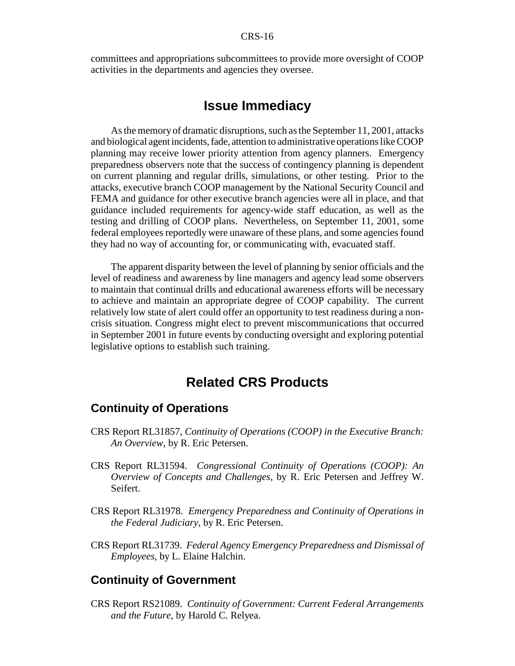committees and appropriations subcommittees to provide more oversight of COOP activities in the departments and agencies they oversee.

### **Issue Immediacy**

As the memory of dramatic disruptions, such as the September 11, 2001, attacks and biological agent incidents, fade, attention to administrative operations like COOP planning may receive lower priority attention from agency planners. Emergency preparedness observers note that the success of contingency planning is dependent on current planning and regular drills, simulations, or other testing. Prior to the attacks, executive branch COOP management by the National Security Council and FEMA and guidance for other executive branch agencies were all in place, and that guidance included requirements for agency-wide staff education, as well as the testing and drilling of COOP plans. Nevertheless, on September 11, 2001, some federal employees reportedly were unaware of these plans, and some agencies found they had no way of accounting for, or communicating with, evacuated staff.

The apparent disparity between the level of planning by senior officials and the level of readiness and awareness by line managers and agency lead some observers to maintain that continual drills and educational awareness efforts will be necessary to achieve and maintain an appropriate degree of COOP capability. The current relatively low state of alert could offer an opportunity to test readiness during a noncrisis situation. Congress might elect to prevent miscommunications that occurred in September 2001 in future events by conducting oversight and exploring potential legislative options to establish such training.

# **Related CRS Products**

#### **Continuity of Operations**

- CRS Report RL31857, *Continuity of Operations (COOP) in the Executive Branch: An Overview*, by R. Eric Petersen.
- CRS Report RL31594. *Congressional Continuity of Operations (COOP): An Overview of Concepts and Challenges*, by R. Eric Petersen and Jeffrey W. Seifert.
- CRS Report RL31978. *Emergency Preparedness and Continuity of Operations in the Federal Judiciary*, by R. Eric Petersen.
- CRS Report RL31739. *Federal Agency Emergency Preparedness and Dismissal of Employees*, by L. Elaine Halchin.

#### **Continuity of Government**

CRS Report RS21089. *Continuity of Government: Current Federal Arrangements and the Future*, by Harold C. Relyea.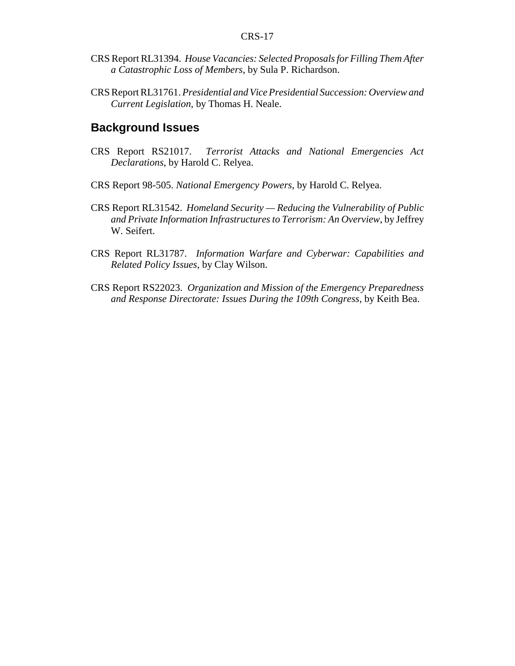- CRS Report RL31394. *House Vacancies: Selected Proposals for Filling Them After a Catastrophic Loss of Members*, by Sula P. Richardson.
- CRS Report RL31761. *Presidential and Vice Presidential Succession: Overview and Current Legislation*, by Thomas H. Neale.

#### **Background Issues**

- CRS Report RS21017. *Terrorist Attacks and National Emergencies Act Declarations*, by Harold C. Relyea.
- CRS Report 98-505. *National Emergency Powers*, by Harold C. Relyea.
- CRS Report RL31542. *Homeland Security Reducing the Vulnerability of Public and Private Information Infrastructures to Terrorism: An Overview*, by Jeffrey W. Seifert.
- CRS Report RL31787. *Information Warfare and Cyberwar: Capabilities and Related Policy Issues*, by Clay Wilson.
- CRS Report RS22023. *Organization and Mission of the Emergency Preparedness and Response Directorate: Issues During the 109th Congress*, by Keith Bea.